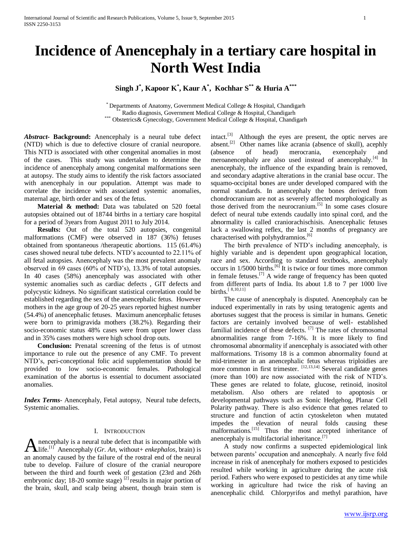# **Incidence of Anencephaly in a tertiary care hospital in North West India**

**Singh J\* , Kapoor K\* , Kaur A\* , Kochhar S\*\* & Huria A\*\*\***

\* Departments of Anatomy, Government Medical College & Hospital, Chandigarh Radio diagnosis, Government Medical College & Hospital, Chandigarh \*\*\* Obstetrics& Gynecology, Government Medical College & Hospital, Chandigarh

*Abstract***- Background:** Anencephaly is a neural tube defect (NTD) which is due to defective closure of cranial neuropore. This NTD is associated with other congenital anomalies in most of the cases. This study was undertaken to determine the incidence of anencephaly among congenital malformations seen at autopsy. The study aims to identify the risk factors associated with anencephaly in our population. Attempt was made to correlate the incidence with associated systemic anomalies, maternal age, birth order and sex of the fetus.

 **Material & method:** Data was tabulated on 520 foetal autopsies obtained out of 18744 births in a tertiary care hospital for a period of 3years from August 2011 to July 2014.

 **Results:** Out of the total 520 autopsies, congenital malformations (CMF) were observed in 187 (36%) fetuses obtained from spontaneous /therapeutic abortions. 115 (61.4%) cases showed neural tube defects. NTD's accounted to 22.11% of all fetal autopsies. Anencephaly was the most prevalent anomaly observed in 69 cases (60% of NTD's), 13.3% of total autopsies. In 40 cases (58%) anencephaly was associated with other systemic anomalies such as cardiac defects , GIT defects and polycystic kidneys. No significant statistical correlation could be established regarding the sex of the anencephalic fetus. However mothers in the age group of 20-25 years reported highest number (54.4%) of anencephalic fetuses. Maximum anencephalic fetuses were born to primigravida mothers (38.2%). Regarding their socio-economic status 48% cases were from upper lower class and in 35% cases mothers were high school drop outs.

 **Conclusion:** Prenatal screening of the fetus is of utmost importance to rule out the presence of any CMF. To prevent NTD's, peri-conceptional folic acid supplementation should be provided to low socio-economic females. Pathological examination of the abortus is essential to document associated anomalies.

*Index Terms*- Anencephaly, Fetal autopsy, Neural tube defects, Systemic anomalies.

#### I. INTRODUCTION

nencephaly is a neural tube defect that is incompatible with **A** nencephaly is a neural tube defect that is incompatible with  $\mathbf{A}$  life.<sup>[1]</sup> Anencephaly (*Gr. An*, without+ *enkephalos*, brain) is an anomaly caused by the failure of the rostral end of the neural tube to develop. Failure of closure of the cranial neuropore between the third and fourth week of gestation (23rd and 26th embryonic day; 18-20 somite stage)  $^{[2]}$  results in major portion of the brain, skull, and scalp being absent, though brain stem is

intact.<sup>[3]</sup> Although the eyes are present, the optic nerves are absent.<sup>[2]</sup> Other names like acrania (absence of skull), acephly (absence of head) merocrania, exencephaly and meroanencephaly are also used instead of anencephaly.<sup>[4]</sup> In anencephaly, the influence of the expanding brain is removed, and secondary adaptive alterations in the cranial base occur. The squamo-occipital bones are under developed compared with the normal standards. In anencephaly the bones derived from chondrocranium are not as severely affected morphologically as those derived from the neurocranium.<sup>[5]</sup> In some cases closure defect of neural tube extends caudally into spinal cord, and the abnormality is called craniorachischisis. Anencephalic fetuses lack a swallowing reflex, the last 2 months of pregnancy are characterised with polyhydramnios.<sup>[6]</sup>

 The birth prevalence of NTD's including anencephaly, is highly variable and is dependent upon geographical location, race and sex. According to standard textbooks, anencephaly occurs in 1/5000 births.[6] It is twice or four times more common in female fetuses.<sup>[7]</sup> A wide range of frequency has been quoted from different parts of India. Its about 1.8 to 7 per 1000 live births.<sup>[8,10,11]</sup>

 The cause of anencephaly is disputed. Anencephaly can be induced experimentally in rats by using teratogenic agents and abortuses suggest that the process is similar in humans. Genetic factors are certainly involved because of well- established familial incidence of these defects. [7] The rates of chromosomal abnormalities range from 7-16%. It is more likely to find chromosomal abnormality if anencephaly is associated with other malformations. Trisomy 18 is a common abnormality found at mid-trimester in an anencephalic fetus whereas triploidies are more common in first trimester. [12,13,14] Several candidate genes (more than 100) are now associated with the risk of NTD's. These genes are related to folate, glucose, retinoid, inositol metabolism. Also others are related to apoptosis or developmental pathways such as Sonic Hedgehog, Planar Cell Polarity pathway. There is also evidence that genes related to structure and function of actin cytoskeleton when mutated impedes the elevation of neural folds causing these malformations.<sup>[15]</sup> Thus the most accepted inheritance of anencephaly is multifactorial inheritance.<sup>[7]</sup>

 A study now confirms a suspected epidemiological link between parents' occupation and anencephaly. A nearly five fold increase in risk of anencephaly for mothers exposed to pesticides resulted while working in agriculture during the acute risk period. Fathers who were exposed to pesticides at any time while working in agriculture had twice the risk of having an anencephalic child. Chlorpyrifos and methyl parathion, have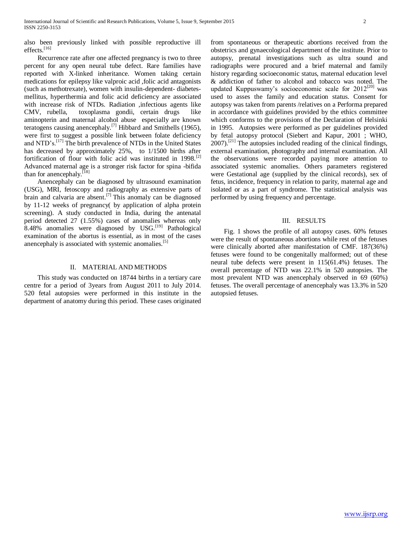also been previously linked with possible reproductive ill effects.<sup>[16]</sup>

 Recurrence rate after one affected pregnancy is two to three percent for any open neural tube defect. Rare families have reported with X-linked inheritance. Women taking certain medications for epilepsy like valproic acid ,folic acid antagonists (such as methotrexate), women with insulin-dependent- diabetesmellitus, hyperthermia and folic acid deficiency are associated with increase risk of NTDs. Radiation ,infectious agents like CMV, rubella, toxoplasma gondii, certain drugs like aminopterin and maternal alcohol abuse especially are known teratogens causing anencephaly.[7] Hibbard and Smithells (1965), were first to suggest a possible link between folate deficiency and NTD's.<sup>[17]</sup> The birth prevalence of NTDs in the United States has decreased by approximately 25%, to 1/1500 births after fortification of flour with folic acid was instituted in  $1998$ .<sup>[2]</sup> Advanced maternal age is a stronger risk factor for spina -bifida than for anencephaly.<sup>[18]</sup>

 Anencephaly can be diagnosed by ultrasound examination (USG), MRI, fetoscopy and radiography as extensive parts of brain and calvaria are absent.<sup>[7]</sup> This anomaly can be diagnosed by 11-12 weeks of pregnancy( by application of alpha protein screening). A study conducted in India, during the antenatal period detected 27 (1.55%) cases of anomalies whereas only 8.48% anomalies were diagnosed by USG.<sup>[19]</sup> Pathological examination of the abortus is essential, as in most of the cases anencephaly is associated with systemic anomalies.<sup>[5]</sup>

#### II. MATERIAL AND METHODS

 This study was conducted on 18744 births in a tertiary care centre for a period of 3years from August 2011 to July 2014. 520 fetal autopsies were performed in this institute in the department of anatomy during this period. These cases originated from spontaneous or therapeutic abortions received from the obstetrics and gynaecological department of the institute. Prior to autopsy, prenatal investigations such as ultra sound and radiographs were procured and a brief maternal and family history regarding socioeconomic status, maternal education level & addiction of father to alcohol and tobacco was noted. The updated Kuppuswamy's socioeconomic scale for  $2012^{[20]}$  was used to asses the family and education status. Consent for autopsy was taken from parents /relatives on a Performa prepared in accordance with guidelines provided by the ethics committee which conforms to the provisions of the Declaration of Helsinki in 1995. Autopsies were performed as per guidelines provided by fetal autopsy protocol (Siebert and Kapur, 2001 ; WHO,  $2007$ ).<sup>[21]</sup> The autopsies included reading of the clinical findings, external examination, photography and internal examination. All the observations were recorded paying more attention to associated systemic anomalies. Others parameters registered were Gestational age (supplied by the clinical records), sex of fetus, incidence, frequency in relation to parity, maternal age and isolated or as a part of syndrome. The statistical analysis was performed by using frequency and percentage.

#### III. RESULTS

 Fig. 1 shows the profile of all autopsy cases. 60% fetuses were the result of spontaneous abortions while rest of the fetuses were clinically aborted after manifestation of CMF. 187(36%) fetuses were found to be congenitally malformed; out of these neural tube defects were present in 115(61.4%) fetuses. The overall percentage of NTD was 22.1% in 520 autopsies. The most prevalent NTD was anencephaly observed in 69 (60%) fetuses. The overall percentage of anencephaly was 13.3% in 520 autopsied fetuses.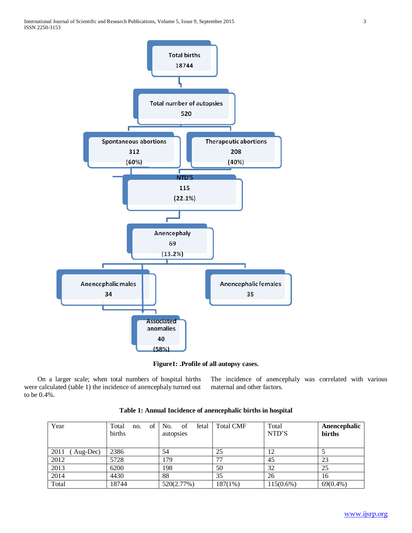

**Figure1: .Profile of all autopsy cases.**

 On a larger scale; when total numbers of hospital births were calculated (table 1) the incidence of anencephaly turned out to be 0.4%.

The incidence of anencephaly was correlated with various maternal and other factors.

| Year              | of<br>Total<br>no.<br>births | of<br>No.<br>fetal<br>autopsies | <b>Total CMF</b> | Total<br>NTD'S | Anencephalic<br>births |
|-------------------|------------------------------|---------------------------------|------------------|----------------|------------------------|
| 2011<br>(Aug-Dec) | 2386                         | 54                              | 25               |                |                        |
| 2012              | 5728                         | 179                             | 77               | 45             | 23                     |
| 2013              | 6200                         | 198                             | 50               | 32             | 25                     |
| 2014              | 4430                         | 88                              | 35               | 26             | 16                     |
| Total             | 18744                        | 520(2.77%)                      | 187(1%)          | $115(0.6\%)$   | $69(0.4\%)$            |

**Table 1: Annual Incidence of anencephalic births in hospital**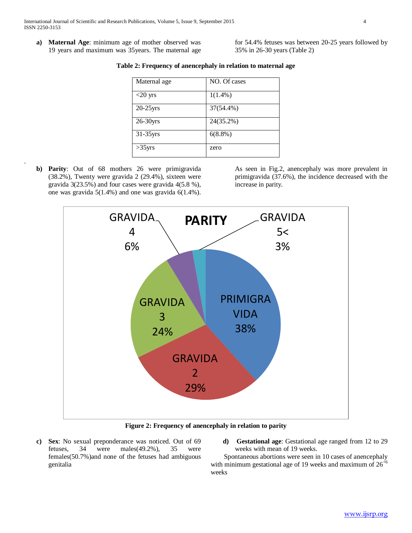**a) Maternal Age**: minimum age of mother observed was 19 years and maximum was 35years. The maternal age for 54.4% fetuses was between 20-25 years followed by 35% in 26-30 years (Table 2)

| Maternal age | NO. Of cases |
|--------------|--------------|
| $<$ 20 yrs   | $1(1.4\%)$   |
| $20-25$ yrs  | 37(54.4%)    |
| 26-30yrs     | 24(35.2%)    |
| $31-35$ yrs  | $6(8.8\%)$   |
| $>35$ yrs    | zero         |

**Table 2: Frequency of anencephaly in relation to maternal age**

**b) Parity**: Out of 68 mothers 26 were primigravida (38.2%), Twenty were gravida 2 (29.4%), sixteen were gravida 3(23.5%) and four cases were gravida 4(5.8 %), one was gravida 5(1.4%) and one was gravida 6(1.4%).

.

As seen in Fig.2, anencephaly was more prevalent in primigravida (37.6%), the incidence decreased with the increase in parity.



**Figure 2: Frequency of anencephaly in relation to parity**

- **c) Sex**: No sexual preponderance was noticed. Out of 69 fetuses, 34 were males(49.2%), 35 were females(50.7%)and none of the fetuses had ambiguous genitalia
- **d) Gestational age**: Gestational age ranged from 12 to 29 weeks with mean of 19 weeks.

 Spontaneous abortions were seen in 10 cases of anencephaly with minimum gestational age of 19 weeks and maximum of  $26^{6}$ weeks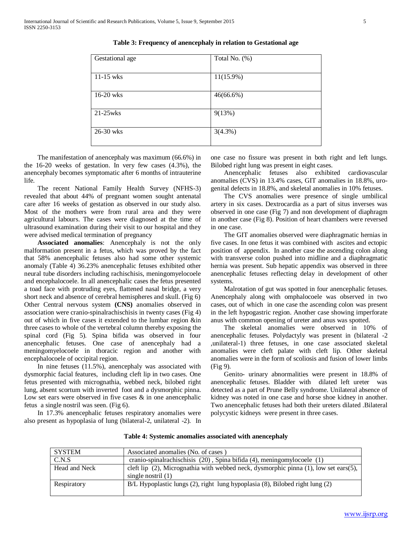| Gestational age | Total No. (%) |
|-----------------|---------------|
| $11-15$ wks     | $11(15.9\%)$  |
| 16-20 wks       | $46(66.6\%)$  |
| $21-25$ wks     | 9(13%)        |
| 26-30 wks       | $3(4.3\%)$    |

**Table 3: Frequency of anencephaly in relation to Gestational age**

 The manifestation of anencephaly was maximum (66.6%) in the 16-20 weeks of gestation. In very few cases (4.3%), the anencephaly becomes symptomatic after 6 months of intrauterine life.

 The recent National Family Health Survey (NFHS-3) revealed that about 44% of pregnant women sought antenatal care after 16 weeks of gestation as observed in our study also. Most of the mothers were from rural area and they were agricultural labours. The cases were diagnosed at the time of ultrasound examination during their visit to our hospital and they were advised medical termination of pregnancy

 **Associated anomalies**: Anencephaly is not the only malformation present in a fetus, which was proved by the fact that 58% anencephalic fetuses also had some other systemic anomaly (Table 4) 36.23% anencephalic fetuses exhibited other neural tube disorders including rachischisis, meningomyelocoele and encephalocoele. In all anencephalic cases the fetus presented a toad face with protruding eyes, flattened nasal bridge, a very short neck and absence of cerebral hemispheres and skull. (Fig 6) Other Central nervous system **(CNS)** anomalies observed in association were cranio-spinalrachischisis in twenty cases (Fig 4) out of which in five cases it extended to the lumbar region &in three cases to whole of the vertebral column thereby exposing the spinal cord (Fig 5). Spina bifida was observed in four anencephalic fetuses. One case of anencephaly had a meningomyelocoele in thoracic region and another with encephalocoele of occipital region.

 In nine fetuses (11.5%), anencephaly was associated with dysmorphic facial features, including cleft lip in two cases. One fetus presented with micrognathia, webbed neck, bilobed right lung, absent scortum with inverted foot and a dysmorphic pinna. Low set ears were observed in five cases  $\&$  in one anencephalic fetus a single nostril was seen. (Fig 6).

 In 17.3% anencephalic fetuses respiratory anomalies were also present as hypoplasia of lung (bilateral-2, unilateral -2). In

one case no fissure was present in both right and left lungs. Bilobed right lung was present in eight cases.

 Anencephalic fetuses also exhibited cardiovascular anomalies (CVS) in 13.4% cases, GIT anomalies in 18.8%, urogenital defects in 18.8%, and skeletal anomalies in 10% fetuses.

 The CVS anomalies were presence of single umbilical artery in six cases. Dextrocardia as a part of situs inverses was observed in one case (Fig 7) and non development of diaphragm in another case (Fig 8). Position of heart chambers were reversed in one case.

 The GIT anomalies observed were diaphragmatic hernias in five cases. In one fetus it was combined with ascites and ectopic position of appendix. In another case the ascending colon along with transverse colon pushed into midline and a diaphragmatic hernia was present. Sub hepatic appendix was observed in three anencephalic fetuses reflecting delay in development of other systems.

 Malrotation of gut was spotted in four anencephalic fetuses. Anencephaly along with omphalocoele was observed in two cases, out of which in one case the ascending colon was present in the left hypogastric region. Another case showing imperforate anus with common opening of ureter and anus was spotted.

 The skeletal anomalies were observed in 10% of anencephalic fetuses. Polydactyly was present in (bilateral -2 ,unilateral-1) three fetuses, in one case associated skeletal anomalies were cleft palate with cleft lip. Other skeletal anomalies were in the form of scoliosis and fusion of lower limbs (Fig 9).

 Genito- urinary abnormalities were present in 18.8% of anencephalic fetuses. Bladder with dilated left ureter was detected as a part of Prune Belly syndrome. Unilateral absence of kidney was noted in one case and horse shoe kidney in another. Two anencephalic fetuses had both their ureters dilated .Bilateral polycystic kidneys were present in three cases.

| <b>SYSTEM</b> | Associated anomalies (No. of cases)                                                                                    |
|---------------|------------------------------------------------------------------------------------------------------------------------|
| C.N.S         | cranio-spinal rachischisis $(20)$ , Spina bifida $(4)$ , meningomylocoele $(1)$                                        |
| Head and Neck | cleft lip $(2)$ , Micrognathia with webbed neck, dysmorphic pinna $(1)$ , low set ears $(5)$ ,<br>single nostril $(1)$ |
| Respiratory   | B/L Hypoplastic lungs (2), right lung hypoplasia (8), Bilobed right lung (2)                                           |

**Table 4: Systemic anomalies associated with anencephaly**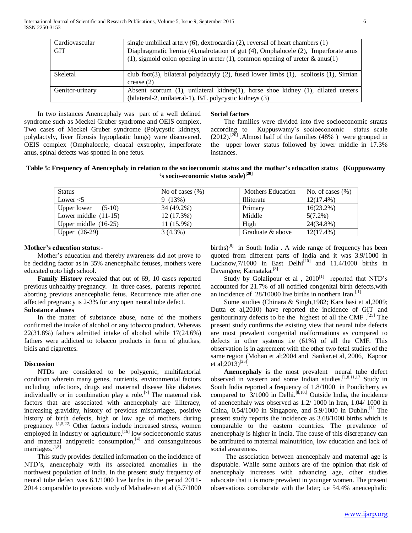| Cardiovascular  | single umbilical artery $(6)$ , dextrocardia $(2)$ , reversal of heart chambers $(1)$                                                                                  |
|-----------------|------------------------------------------------------------------------------------------------------------------------------------------------------------------------|
| GIT             | Diaphragmatic hernia (4), malrotation of gut (4), Omphalocele (2), Imperforate anus<br>(1), sigmoid colon opening in ureter (1), common opening of ureter $\&$ anus(1) |
| Skeletal        | club foot(3), bilateral polydactyly (2), fused lower limbs (1), scoliosis (1), Simian                                                                                  |
|                 | crease $(2)$                                                                                                                                                           |
| Genitor-urinary | Absent scortum $(1)$ , unilateral kidney $(1)$ , horse shoe kidney $(1)$ , dilated ureters                                                                             |
|                 | (bilateral-2, unilateral-1), B/L polycystic kidneys (3)                                                                                                                |

 In two instances Anencephaly was part of a well defined syndrome such as Meckel Gruber syndrome and OEIS complex. Two cases of Meckel Gruber syndrome (Polycystic kidneys, polydactyly, liver fibrosis hypoplastic lungs) were discovered. OEIS complex (Omphalocele, cloacal exstrophy, imperforate anus, spinal defects was spotted in one fetus.

#### **Social factors**

 The families were divided into five socioeconomic stratas according to Kuppuswamy's socioeconomic status scale  $(2012).$ <sup>[20]</sup> .Almost half of the families (48%) were grouped in the upper lower status followed by lower middle in 17.3% instances.

# **Table 5: Frequency of Anencephaly in relation to the socioeconomic status and the mother's education status (Kuppuswamy 's socio-economic status scale)[20]**

| <b>Status</b>           | No of cases $(\% )$ | <b>Mothers Education</b> | No. of cases $(\% )$ |
|-------------------------|---------------------|--------------------------|----------------------|
| Lower $<$ 5             | 9(13%)              | Illiterate               | $12(17.4\%)$         |
| Upper lower<br>$(5-10)$ | 34 (49.2%)          | Primary                  | $16(23.2\%)$         |
| Lower middle $(11-15)$  | 12(17.3%)           | Middle                   | $5(7.2\%)$           |
| Upper middle $(16-25)$  | 11 (15.9%)          | High                     | 24(34.8%)            |
| Upper $(26-29)$         | $3(4.3\%)$          | Graduate & above         | $12(17.4\%)$         |

#### **Mother's education status**:-

 Mother's education and thereby awareness did not prove to be deciding factor as in 35% anencephalic fetuses, mothers were educated upto high school.

 **Family History** revealed that out of 69, 10 cases reported previous unhealthy pregnancy. In three cases, parents reported aborting previous anencephalic fetus. Recurrence rate after one affected pregnancy is 2-3% for any open neural tube defect.

#### **Substance abuses**

 In the matter of substance abuse, none of the mothers confirmed the intake of alcohol or any tobacco product. Whereas 22(31.8%) fathers admitted intake of alcohol while 17(24.6%) fathers were addicted to tobacco products in form of ghutkas, bidis and cigarettes.

#### **Discussion**

 NTDs are considered to be polygenic, multifactorial condition wherein many genes, nutrients, environmental factors including infections, drugs and maternal disease like diabetes individually or in combination play a role.<sup>[7]</sup> The maternal risk factors that are associated with anencephaly are illiteracy, increasing gravidity, history of previous miscarriages, positive history of birth defects, high or low age of mothers during pregnancy. [1,5,22] Other factors include increased stress, women employed in industry or agriculture, <sup>[16]</sup> low socioeconomic status and maternal antipyretic consumption,<sup>[4]</sup> and consanguineous marriages.<sup>[1,8]</sup>

 This study provides detailed information on the incidence of NTD's, anencephaly with its associated anomalies in the northwest population of India. In the present study frequency of neural tube defect was 6.1/1000 live births in the period 2011- 2014 comparable to previous study of Mahadeven et al (5.7/1000

births)<sup>[8]</sup> in South India . A wide range of frequency has been quoted from different parts of India and it was 3.9/1000 in Lucknow,7/1000 in East Delhi<sup>[10]</sup> and 11.4/1000 births in Davangere; Karnataka.<sup>[8]</sup>

Study by Golalipour et al ,  $2010^{[1]}$  reported that NTD's accounted for 21.7% of all notified congenital birth defects,with an incidence of  $28/10000$  live births in northern Iran.<sup>[1]</sup>

 Some studies (Chinara & Singh,1982; Kara basi et al,2009; Dutta et al,2010) have reported the incidence of GIT and genitourinary defects to be the highest of all the CMF .[25] The present study confirms the existing view that neural tube defects are most prevalent congenital malformations as compared to defects in other systems i.e (61%) of all the CMF. This observation is in agreement with the other two fetal studies of the same region (Mohan et al;2004 and Sankar,et al, 2006, Kapoor et al;2013)<sup>[25]</sup>.

 **Anencephaly** is the most prevalent neural tube defect observed in western and some Indian studies.<sup>[1,8,11,17</sup> Study in South India reported a frequency of 1.8/1000 in Pondicherry as compared to  $3/1000$  in Delhi.<sup>[8,10,]</sup> Outside India, the incidence of anencephaly was observed as 1.2/ 1000 in Iran, 1.04/ 1000 in China,  $0.54/1000$  in Singapore, and  $5.9/1000$  in Dublin.<sup>[1]</sup> The present study reports the incidence as 3.68/1000 births which is comparable to the eastern countries. The prevalence of anencephaly is higher in India. The cause of this discrepancy can be attributed to maternal malnutrition, low education and lack of social awareness.

 The association between anencephaly and maternal age is disputable. While some authors are of the opinion that risk of anencephaly increases with advancing age, other studies advocate that it is more prevalent in younger women. The present observations corroborate with the later; i.e 54.4% anencephalic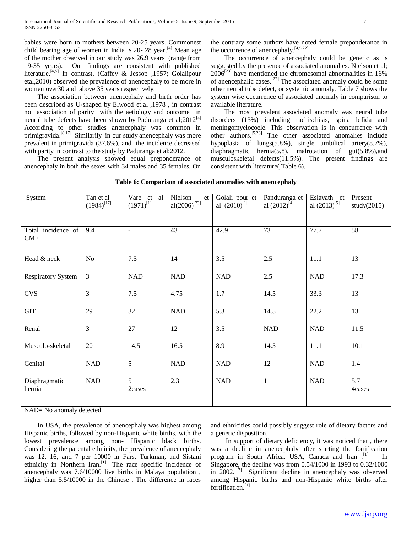babies were born to mothers between 20-25 years. Commonest child bearing age of women in India is 20- 28 year. $[4]$  Mean age of the mother observed in our study was 26.9 years (range from 19-35 years). Our findings are consistent with published literature.<sup>[4,5]</sup> In contrast, (Caffey & Jessop , 1957; Golalipour etal,2010) observed the prevalence of anencephaly to be more in women over30 and above 35 years respectively.

 The association between anencephaly and birth order has been described as U-shaped by Elwood et.al ,1978 , in contrast no association of parity with the aetiology and outcome in neural tube defects have been shown by Paduranga et al; $2012^{[4]}$ According to other studies anencephaly was common in primigravida.<sup>[8,17]</sup> Similarily in our study anencephaly was more prevalent in primigravida (37.6%), and the incidence decreased with parity in contrast to the study by Paduranga et al;2012.

 The present analysis showed equal preponderance of anencephaly in both the sexes with 34 males and 35 females. On

the contrary some authors have noted female preponderance in the occurrence of anencephaly. $[4,5,22]$ 

 The occurrence of anencephaly could be genetic as is suggested by the presence of associated anomalies. Nielson et al;  $2006^{[23]}$  have mentioned the chromosomal abnormalities in 16% of anencephalic cases.[23] The associated anomaly could be some other neural tube defect, or systemic anomaly. Table 7 shows the system wise occurrence of associated anomaly in comparison to available literature.

 The most prevalent associated anomaly was neural tube disorders (13%) including rachischisis, spina bifida and meningomyelocoele. This observation is in concurrence with other authors.[5.23] The other associated anomalies include hypoplasia of lungs(5.8%), single umbilical artery(8.7%), diaphragmatic hernia(5.8), malrotation of gut(5.8%),and musculoskeletal defects(11.5%). The present findings are consistent with literature( Table 6).

| System                           | Tan et al<br>$(1984)^{[17]}$ | Vare et al<br>$(1971)^{[11]}$ | Nielson<br>et<br>al $(2006)^{[23]}$ | Golali pour et<br>al $(2010)^{[1]}$ | Panduranga et<br>al $(2012)^{[4]}$ | Eslavath et<br>al $(2013)^{[5]}$ | Present<br>study $(2015)$  |
|----------------------------------|------------------------------|-------------------------------|-------------------------------------|-------------------------------------|------------------------------------|----------------------------------|----------------------------|
| Total incidence of<br><b>CMF</b> | 9.4                          | $\blacksquare$                | $\overline{43}$                     | 42.9                                | $\overline{73}$                    | 77.7                             | 58                         |
| Head & neck                      | No                           | 7.5                           | 14                                  | 3.5                                 | 2.5                                | 11.1                             | 13                         |
| <b>Respiratory System</b>        | 3                            | <b>NAD</b>                    | <b>NAD</b>                          | <b>NAD</b>                          | 2.5                                | <b>NAD</b>                       | 17.3                       |
| <b>CVS</b>                       | 3                            | 7.5                           | 4.75                                | 1.7                                 | 14.5                               | 33.3                             | $\overline{13}$            |
| <b>GIT</b>                       | 29                           | 32                            | <b>NAD</b>                          | 5.3                                 | 14.5                               | 22.2                             | 13                         |
| Renal                            | 3                            | 27                            | 12                                  | 3.5                                 | <b>NAD</b>                         | <b>NAD</b>                       | 11.5                       |
| Musculo-skeletal                 | 20                           | 14.5                          | 16.5                                | 8.9                                 | 14.5                               | 11.1                             | 10.1                       |
| Genital                          | <b>NAD</b>                   | $\overline{5}$                | <b>NAD</b>                          | <b>NAD</b>                          | $\overline{12}$                    | <b>NAD</b>                       | 1.4                        |
| Diaphragmatic<br>hernia          | NAD                          | $\overline{5}$<br>2cases      | 2.3                                 | NAD                                 | $\mathbf{1}$                       | <b>NAD</b>                       | $\overline{5.7}$<br>4cases |

NAD= No anomaly detected

 In USA, the prevalence of anencephaly was highest among Hispanic births, followed by non-Hispanic white births, with the lowest prevalence among non- Hispanic black births. Considering the parental ethnicity, the prevalence of anencephaly was 12, 16, and 7 per 10000 in Fars, Turkman, and Sistani ethnicity in Northern Iran.<sup>[1]</sup> The race specific incidence of anencephaly was 7.6/10000 live births in Malaya population , higher than 5.5/10000 in the Chinese. The difference in races

and ethnicities could possibly suggest role of dietary factors and a genetic disposition.

 In support of dietary deficiency, it was noticed that , there was a decline in anencephaly after starting the fortification program in South Africa, USA, Canada and Iran .<sup>[1]</sup> In Singapore, the decline was from 0.54/1000 in 1993 to 0.32/1000 in  $2002$ <sup>[17]</sup> Significant decline in anencephaly was observed among Hispanic births and non-Hispanic white births after fortification.<sup>[1]</sup>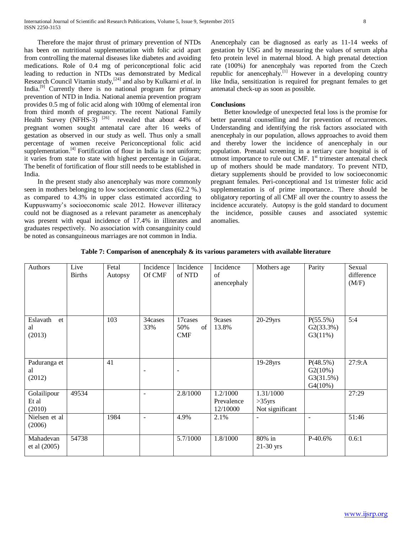Therefore the major thrust of primary prevention of NTDs has been on nutritional supplementation with folic acid apart from controlling the maternal diseases like diabetes and avoiding medications. Role of 0.4 mg of periconceptional folic acid leading to reduction in NTDs was demonstrated by Medical Research Council Vitamin study,[24] and also by Kulkarni *et al*. in India.<sup>[9]</sup> Currently there is no national program for primary prevention of NTD in India. National anemia prevention program provides 0.5 mg of folic acid along with 100mg of elemental iron from third month of pregnancy. The recent National Family Health Survey (NFHS-3)  $^{[26]}$  revealed that about 44% of pregnant women sought antenatal care after 16 weeks of gestation as observed in our study as well. Thus only a small percentage of women receive Periconceptional folic acid supplementation. $[4]$  Fortification of flour in India is not uniform; it varies from state to state with highest percentage in Gujarat. The benefit of fortification of flour still needs to be established in India.

 In the present study also anencephaly was more commonly seen in mothers belonging to low socioeconomic class (62.2 %.) as compared to 4.3% in upper class estimated according to Kuppuswamy's socioeconomic scale 2012. However illiteracy could not be diagnosed as a relevant parameter as anencephaly was present with equal incidence of 17.4% in illiterates and graduates respectively. No association with consanguinity could be noted as consanguineous marriages are not common in India.

Anencephaly can be diagnosed as early as 11-14 weeks of gestation by USG and by measuring the values of serum alpha feto protein level in maternal blood. A high prenatal detection rate (100%) for anencephaly was reported from the Czech republic for anencephaly.<sup>[1]</sup> However in a developing country like India, sensitization is required for pregnant females to get antenatal check-up as soon as possible.

#### **Conclusions**

 Better knowledge of unexpected fetal loss is the promise for better parental counselling and for prevention of recurrences. Understanding and identifying the risk factors associated with anencephaly in our population, allows approaches to avoid them and thereby lower the incidence of anencephaly in our population. Prenatal screening in a tertiary care hospital is of utmost importance to rule out CMF.  $1<sup>st</sup>$  trimester antenatal check up of mothers should be made mandatory. To prevent NTD, dietary supplements should be provided to low socioeconomic pregnant females. Peri-conceptional and 1st trimester folic acid supplementation is of prime importance.. There should be obligatory reporting of all CMF all over the country to assess the incidence accurately. Autopsy is the gold standard to document the incidence, possible causes and associated systemic anomalies.

| Authors                        | Live<br><b>Births</b> | Fetal<br>Autopsy | Incidence<br>Of CMF      | Incidence<br>of NTD                | Incidence<br>of<br>anencephaly     | Mothers age                               | Parity                                         | Sexual<br>difference<br>(M/F) |
|--------------------------------|-----------------------|------------------|--------------------------|------------------------------------|------------------------------------|-------------------------------------------|------------------------------------------------|-------------------------------|
| Eslavath<br>et<br>al<br>(2013) |                       | 103              | 34cases<br>33%           | 17cases<br>of<br>50%<br><b>CMF</b> | 9cases<br>13.8%                    | $20-29$ yrs                               | $P(55.5\%)$<br>G2(33.3%)<br>G3(11%)            | 5:4                           |
| Paduranga et<br>al<br>(2012)   |                       | 41               | $\overline{\phantom{0}}$ | $\overline{\phantom{a}}$           |                                    | 19-28yrs                                  | P(48.5%)<br>G2(10%)<br>G3(31.5%)<br>$G4(10\%)$ | 27:9:A                        |
| Golailipour<br>Et al<br>(2010) | 49534                 |                  | $\blacksquare$           | 2.8/1000                           | 1.2/1000<br>Prevalence<br>12/10000 | 1.31/1000<br>$>35$ yrs<br>Not significant |                                                | 27:29                         |
| Nielsen et al<br>(2006)        |                       | 1984             | $\blacksquare$           | 4.9%                               | 2.1%                               |                                           | $\sim$                                         | 51:46                         |
| Mahadevan<br>et al $(2005)$    | 54738                 |                  |                          | 5.7/1000                           | 1.8/1000                           | 80% in<br>$21-30$ yrs                     | P-40.6%                                        | 0.6:1                         |

**Table 7: Comparison of anencephaly & its various parameters with available literature**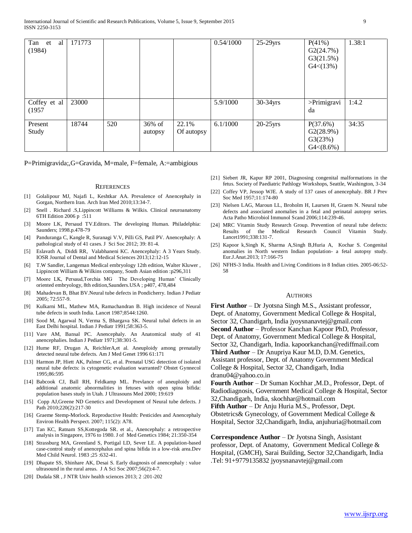| Tan et<br>al<br>(1984) | 171773 |     |                   |                     | 0.54/1000 | $25-29$ yrs | $P(41\%)$<br>G2(24.7%)<br>G3(21.5%)<br>G4<(13%)  | 1.38:1 |
|------------------------|--------|-----|-------------------|---------------------|-----------|-------------|--------------------------------------------------|--------|
| Coffey et al<br>(1957) | 23000  |     |                   |                     | 5.9/1000  | 30-34yrs    | >Primigravi<br>da                                | 1:4.2  |
| Present<br>Study       | 18744  | 520 | 36% of<br>autopsy | 22.1%<br>Of autopsy | 6.1/1000  | $20-25$ yrs | P(37.6%)<br>G2(28.9%)<br>G3(23%)<br>$G4<(8.6\%)$ | 34:35  |

P=Primigravida;,G=Gravida, M=male, F=female, A:=ambigious

#### **REFERENCES**

- [1] Golalipour MJ, Najafi L, Keshtkar AA. Prevalence of Anencephaly in Gorgan, Northern Iran. Arch Iran Med 2010;13:34-7.
- [2] Snell . Richard .S,Lippincott Williams & Wilkis. Clinical neuroanatomy 6TH Edition 2006 p :511
- [3] Moore LK, Persaud TV.Editors. The developing Human. Philadelphia: Saunders; 1998.p.478-79
- [4] Panduranga C, Kangle R, Suranagi V.V, Pilli GS, Patil PV. Anencephaly: A pathological study of 41 cases. J Sci Soc 2012; 39: 81-4.
- [5] Eslavath A, Diddi RR, Valabhaneni KC. Anencephaly: A 3 Years Study. IOSR Journal of Dental and Medical Sciences 2013;12:12-15
- [6] T.W Sandler, Langeman Medical embryology 12th edition, Walter Kluwer , Lippincott William & Wilkins company, South Asian edition :p296,311
- [7] Moore LK, Persaud,Torchia MG The Developing Human' Clinically oriented embryology, 8th edition,Saunders.USA ; p407, 478,484
- [8] Mahadevan B, Bhat BV.Neural tube defects in Pondicherry. Indian J Pediatr 2005; 72:557-9.
- [9] Kulkarni ML, Mathew MA, Ramachandran B. High incidence of Neural tube defects in south India. Lancet 1987;8544:1260.
- [10] Sood M, Agarwal N, Verma S, Bhargava SK. Neural tubal defects in an East Delhi hospital. Indian J Pediatr 1991;58:363-5.
- [11] Vare AM, Bansal PC. Anencephaly. An Anatomical study of 41 anencephalies. Indian J Pediatr 1971;38:301-5.
- [12] Hume RF, Drugan A, ReichlerA,et al. Aneuploidy among prenatally detected neural tube defects. Am J Med Genet 1996 61:171
- [13] Harmon JP, Hiett AK, Palmer CG, et al. Prenatal USG detection of isolated neural tube defects: is cytogenetic evaluation warranted? Obstet Gynnecol 1995;86:595
- [14] Babcook CJ, Ball RH, Feldkamp ML. Prevlance of aneuploidy and additional anatomic abnormalities in fetuses with open spina bifida: population bases study in Utah. J Ultrasouns Med 2000; 19:619
- [15] Copp AJ, Greene ND Genetics and Development of Neural tube defects. J Path 2010;220(2):217-30
- [16] Graeme Stemp-Morlock. Reproductive Health: Pesticides and Anencephaly Environ Health Perspect. 2007; 115(2): A78.
- [17] Tan KC, Ratnam SS,Kottegoda SR. et al., Anencephaly: a retrospective analysis in Singapore, 1976 to 1980. J of Med Genetics 1984; 21:350-354
- [18] Strassburg MA, Greenland S, Portigal LD, Sever LE. A population-based case-control study of anencephalus and spina bifida in a low-risk area.Dev Med Child Neurol. 1983 ;25 :632-41.
- [19] Dhapate SS, Shinhare AK, Desai S. Early diagnosis of anencephaly : value ultrasound in the rural areas. J A Sci Soc 2007;56(2):4-7.
- [20] Dudala SR , J NTR Univ health sciences 2013; 2 :201-202
- [21] Siebert JR, Kapur RP 2001, Diagnosing congenital malformations in the fetus. Society of Paediatric Pathlogy Workshops, Seattle, Washington, 3-34
- [22] Coffey VP, Jessop WJE. A study of 137 cases of anencephaly. BR J Prev Soc Med 1957;11:174-80
- [23] Nielsen LAG, Maroun LL, Broholm H, Laursen H, Graem N. Neural tube defects and associated anomalies in a fetal and perinatal autopsy series. Acta Patho Microbiol Immunol Scand 2006;114:239-46.
- [24] MRC Vitamin Study Research Group. Prevention of neural tube defects: Results of the Medical Research Council Vitamin Study. Lancet1991;338:131-7.
- [25] Kapoor k,Singh K, Sharma A,Singh B,Huria A, Kochar S. Congenital anomalies in North western Indian population- a fetal autopsy study. Eur.J.Anat.2013; 17:166-75
- [26] NFHS-3 India. Health and Living Conditions in 8 Indian cities. 2005-06:52-58

#### **AUTHORS**

**First Author** – Dr Jyotsna Singh M.S., Assistant professor, Dept. of Anatomy, Government Medical College & Hospital, Sector 32, Chandigarh, India jyoysnanavtej@gmail.com **Second Author** – Professor Kanchan Kapoor PhD, Professor, Dept. of Anatomy, Government Medical College & Hospital, Sector 32, Chandigarh, India. kapoorkanchan@rediffmail.com **Third Author** – Dr Anupriya Kaur M.D, D.M. Genetics, Assistant professor, Dept. of Anatomy Government Medical College & Hospital, Sector 32, Chandigarh, India dranu04@yahoo.co.in

**Fourth Author** – Dr Suman Kochhar ,M.D., Professor, Dept. of Radiodiagnosis, Government Medical College & Hospital, Sector 32,Chandigarh, India, skochhar@hotmail.com

**Fifth Author** – Dr Anju Huria M.S., Professor, Dept. Obstetrics& Gynecology, of Government Medical College & Hospital, Sector 32,Chandigarh, India, anjuhuria@hotmail.com

**Correspondence Author** – Dr Jyotsna Singh, Assistant professor, Dept. of Anatomy, Government Medical College & Hospital, (GMCH), Sarai Building, Sector 32,Chandigarh, India .Tel: 91+9779135832 jyoysnanavtej@gmail.com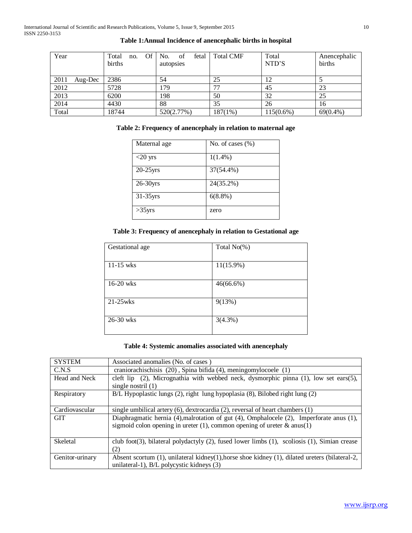| Year  |         | Total<br>no.<br>births | Of No.<br>of<br>autopsies | fetal | <b>Total CMF</b> | Total<br>NTD'S | Anencephalic<br>births |
|-------|---------|------------------------|---------------------------|-------|------------------|----------------|------------------------|
| 2011  | Aug-Dec | 2386                   | 54                        |       | 25               | 12             |                        |
| 2012  |         | 5728                   | 179                       |       | רת               | 45             | 23                     |
| 2013  |         | 6200                   | 198                       |       | 50               | 32             | 25                     |
| 2014  |         | 4430                   | 88                        |       | 35               | 26             | 16                     |
| Total |         | 18744                  | 520(2.77%)                |       | $187(1\%)$       | $115(0.6\%)$   | $69(0.4\%)$            |

# **Table 1:Annual Incidence of anencephalic births in hospital**

# **Table 2: Frequency of anencephaly in relation to maternal age**

| Maternal age | No. of cases $(\% )$ |
|--------------|----------------------|
| $<$ 20 yrs   | $1(1.4\%)$           |
| $20-25$ yrs  | 37(54.4%)            |
| $26-30$ yrs  | 24(35.2%)            |
| $31-35$ yrs  | $6(8.8\%)$           |
| $>35$ yrs    | zero                 |

# **Table 3: Frequency of anencephaly in relation to Gestational age**

| Gestational age | Total $No(\%)$ |
|-----------------|----------------|
| $11-15$ wks     | $11(15.9\%)$   |
| 16-20 wks       | $46(66.6\%)$   |
| $21-25$ wks     | 9(13%)         |
| 26-30 wks       | 3(4.3%)        |

# **Table 4: Systemic anomalies associated with anencephaly**

| <b>SYSTEM</b>   | Associated anomalies (No. of cases)                                                                                                                                       |  |  |  |
|-----------------|---------------------------------------------------------------------------------------------------------------------------------------------------------------------------|--|--|--|
| C.N.S           | craniorachischisis (20), Spina bifida (4), meningomylocoele (1)                                                                                                           |  |  |  |
| Head and Neck   | cleft lip $(2)$ , Micrognathia with webbed neck, dysmorphic pinna $(1)$ , low set ears $(5)$ ,<br>single nostril $(1)$                                                    |  |  |  |
| Respiratory     | B/L Hypoplastic lungs (2), right lung hypoplasia (8), Bilobed right lung (2)                                                                                              |  |  |  |
| Cardiovascular  | single umbilical artery $(6)$ , dextrocardia $(2)$ , reversal of heart chambers $(1)$                                                                                     |  |  |  |
| <b>GIT</b>      | Diaphragmatic hernia (4), malrotation of gut (4), Omphalocele (2), Imperforate anus (1),<br>sigmoid colon opening in ureter $(1)$ , common opening of ureter & anus $(1)$ |  |  |  |
| Skeletal        | club foot(3), bilateral polydactyly $(2)$ , fused lower limbs $(1)$ , scoliosis $(1)$ , Simian crease<br>(2)                                                              |  |  |  |
| Genitor-urinary | Absent scortum $(1)$ , unilateral kidney $(1)$ , horse shoe kidney $(1)$ , dilated ureters (bilateral-2,<br>unilateral-1), B/L polycystic kidneys (3)                     |  |  |  |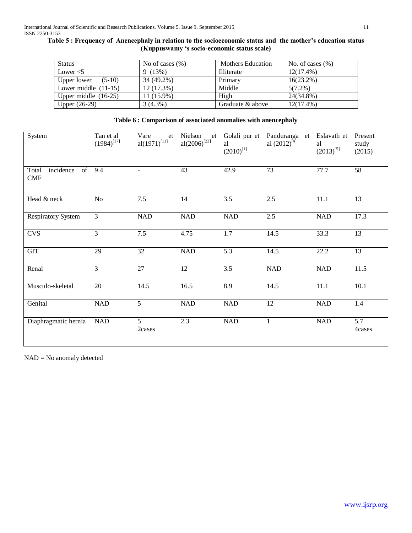|  | Table 5: Frequency of Anencephaly in relation to the socioeconomic status and the mother's education status |  |
|--|-------------------------------------------------------------------------------------------------------------|--|
|  | (Kuppuswamy 's socio-economic status scale)                                                                 |  |

| <b>Status</b>           | No of cases $(\% )$ | <b>Mothers Education</b> | No. of cases $(\%)$ |
|-------------------------|---------------------|--------------------------|---------------------|
| Lower $<$ 5             | 9(13%)              | Illiterate               | $12(17.4\%)$        |
| Upper lower<br>$(5-10)$ | 34 (49.2%)          | Primary                  | $16(23.2\%)$        |
| Lower middle $(11-15)$  | 12(17.3%)           | Middle                   | $5(7.2\%)$          |
| Upper middle $(16-25)$  | $11(15.9\%)$        | High                     | 24(34.8%)           |
| Upper $(26-29)$         | $3(4.3\%)$          | Graduate & above         | $12(17.4\%)$        |

# **Table 6 : Comparison of associated anomalies with anencephaly**

| System                                 | Tan et al<br>$(1984)^{[17]}$ | Vare<br>et<br>al $(1971)^{[11]}$ | Nielson<br>et<br>al $(2006)^{[23]}$ | Golali pur et<br>al<br>$(2010)^{[1]}$ | Panduranga et<br>al $(2012)^{[4]}$ | Eslavath et<br>al<br>$(2013)^{[5]}$ | Present<br>study<br>(2015) |
|----------------------------------------|------------------------------|----------------------------------|-------------------------------------|---------------------------------------|------------------------------------|-------------------------------------|----------------------------|
| incidence<br>of<br>Total<br><b>CMF</b> | 9.4                          | $\sim$                           | 43                                  | 42.9                                  | 73                                 | 77.7                                | 58                         |
| Head & neck                            | No                           | 7.5                              | 14                                  | 3.5                                   | 2.5                                | 11.1                                | 13                         |
| <b>Respiratory System</b>              | 3                            | <b>NAD</b>                       | $\rm NAD$                           | <b>NAD</b>                            | $2.5$                              | <b>NAD</b>                          | 17.3                       |
| <b>CVS</b>                             | 3                            | 7.5                              | 4.75                                | $1.7\,$                               | 14.5                               | 33.3                                | 13                         |
| GIT                                    | 29                           | $\overline{32}$                  | <b>NAD</b>                          | 5.3                                   | 14.5                               | 22.2                                | 13                         |
| Renal                                  | $\overline{3}$               | $\overline{27}$                  | $\overline{12}$                     | $\overline{3.5}$                      | <b>NAD</b>                         | <b>NAD</b>                          | 11.5                       |
| Musculo-skeletal                       | 20                           | 14.5                             | 16.5                                | 8.9                                   | 14.5                               | 11.1                                | 10.1                       |
| Genital                                | <b>NAD</b>                   | $\overline{5}$                   | <b>NAD</b>                          | <b>NAD</b>                            | 12                                 | <b>NAD</b>                          | 1.4                        |
| Diaphragmatic hernia                   | NAD                          | $\overline{5}$<br>2cases         | 2.3                                 | NAD                                   | 1                                  | <b>NAD</b>                          | 5.7<br>4cases              |

NAD = No anomaly detected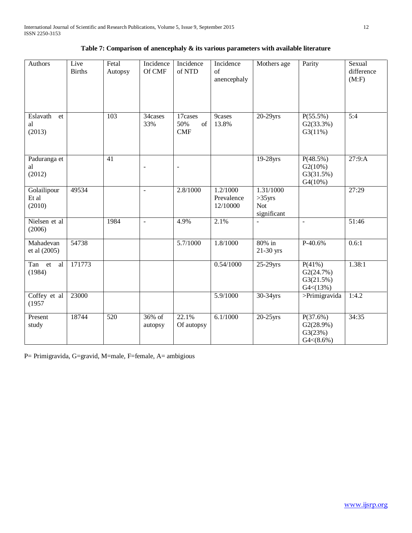| Authors                        | Live<br><b>Births</b> | Fetal<br>Autopsy | Incidence<br>Of CMF      | Incidence<br>of NTD         | Incidence<br>of<br>anencephaly     | Mothers age                                         | Parity                                           | Sexual<br>difference<br>(M:F) |
|--------------------------------|-----------------------|------------------|--------------------------|-----------------------------|------------------------------------|-----------------------------------------------------|--------------------------------------------------|-------------------------------|
| Eslavath<br>et<br>al<br>(2013) |                       | 103              | 34cases<br>33%           | 17cases<br>50%<br>of<br>CMF | 9cases<br>13.8%                    | $20-29$ yrs                                         | $P(55.5\%)$<br>G2(33.3%)<br>G3(11%)              | 5:4                           |
| Paduranga et<br>al<br>(2012)   |                       | $\overline{41}$  | $\overline{\phantom{a}}$ | $\blacksquare$              |                                    | 19-28yrs                                            | P(48.5%)<br>G2(10%)<br>G3(31.5%)<br>G4(10%)      | 27:9: A                       |
| Golailipour<br>Et al<br>(2010) | 49534                 |                  | $\blacksquare$           | 2.8/1000                    | 1.2/1000<br>Prevalence<br>12/10000 | 1.31/1000<br>$>35$ yrs<br><b>Not</b><br>significant |                                                  | 27:29                         |
| Nielsen et al<br>(2006)        |                       | 1984             | $\overline{\phantom{a}}$ | 4.9%                        | 2.1%                               |                                                     |                                                  | 51:46                         |
| Mahadevan<br>et al (2005)      | 54738                 |                  |                          | 5.7/1000                    | 1.8/1000                           | 80% in<br>21-30 yrs                                 | P-40.6%                                          | 0.6:1                         |
| Tan et<br>al<br>(1984)         | 171773                |                  |                          |                             | 0.54/1000                          | $25-29$ yrs                                         | P(41%)<br>G2(24.7%)<br>G3(21.5%)<br>G4<(13%)     | 1.38:1                        |
| Coffey et al<br>(1957)         | 23000                 |                  |                          |                             | 5.9/1000                           | 30-34yrs                                            | >Primigravida                                    | 1:4.2                         |
| Present<br>study               | 18744                 | 520              | 36% of<br>autopsy        | 22.1%<br>Of autopsy         | 6.1/1000                           | $20-25$ yrs                                         | P(37.6%)<br>G2(28.9%)<br>G3(23%)<br>$G4<(8.6\%)$ | 34:35                         |

|  | Table 7: Comparison of an<br>encephaly $\&$ its various parameters with available literature |
|--|----------------------------------------------------------------------------------------------|
|--|----------------------------------------------------------------------------------------------|

P= Primigravida, G=gravid, M=male, F=female, A= ambigious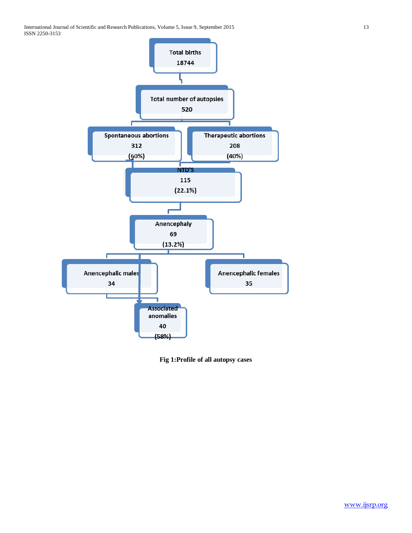

**Fig 1:Profile of all autopsy cases**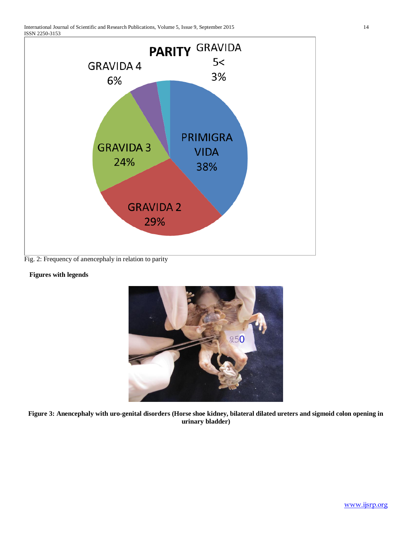

Fig. 2: Frequency of anencephaly in relation to parity

# **Figures with legends**



**Figure 3: Anencephaly with uro-genital disorders (Horse shoe kidney, bilateral dilated ureters and sigmoid colon opening in urinary bladder)**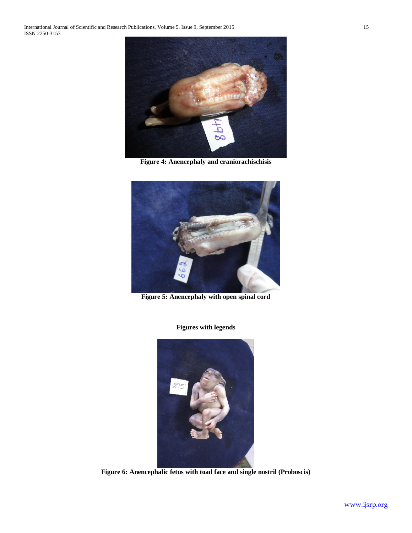International Journal of Scientific and Research Publications, Volume 5, Issue 9, September 2015 15 ISSN 2250-3153



**Figure 4: Anencephaly and craniorachischisis**



**Figure 5: Anencephaly with open spinal cord**

**Figures with legends**



**Figure 6: Anencephalic fetus with toad face and single nostril (Proboscis)**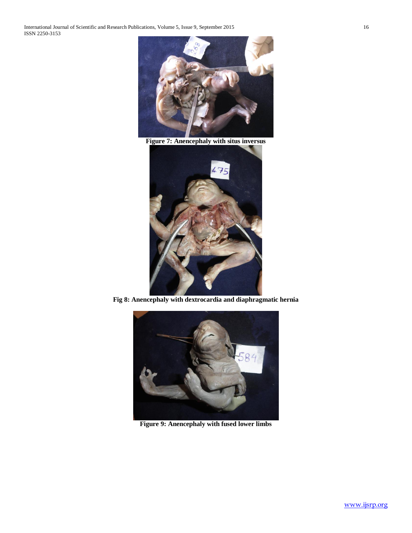International Journal of Scientific and Research Publications, Volume 5, Issue 9, September 2015 16 ISSN 2250-3153



**Figure 7: Anencephaly with situs inversus**



**Fig 8: Anencephaly with dextrocardia and diaphragmatic hernia**



**Figure 9: Anencephaly with fused lower limbs**